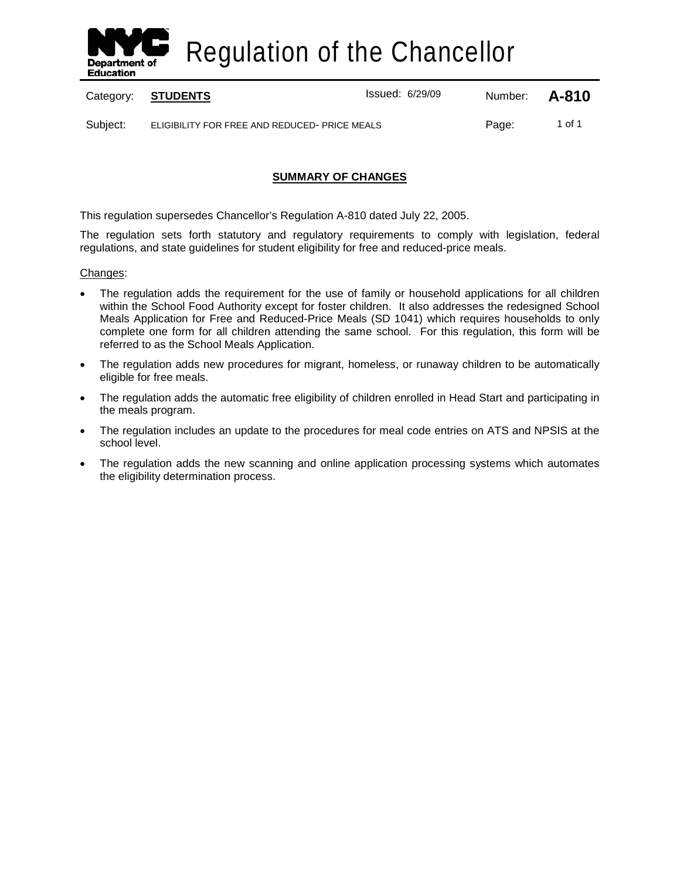

Regulation of the Chancellor

Category: **STUDENTS ISSUED:** Issued: 6/29/09 Number: **A-810** 

Subject: ELIGIBILITY FOR FREE AND REDUCED-PRICE MEALS PAGE: Page: 1 of 1

# **SUMMARY OF CHANGES**

This regulation supersedes Chancellor's Regulation A-810 dated July 22, 2005.

The regulation sets forth statutory and regulatory requirements to comply with legislation, federal regulations, and state guidelines for student eligibility for free and reduced-price meals.

## Changes:

- The regulation adds the requirement for the use of family or household applications for all children within the School Food Authority except for foster children. It also addresses the redesigned School Meals Application for Free and Reduced-Price Meals (SD 1041) which requires households to only complete one form for all children attending the same school. For this regulation, this form will be referred to as the School Meals Application.
- The regulation adds new procedures for migrant, homeless, or runaway children to be automatically eligible for free meals.
- The regulation adds the automatic free eligibility of children enrolled in Head Start and participating in the meals program.
- The regulation includes an update to the procedures for meal code entries on ATS and NPSIS at the school level.
- The regulation adds the new scanning and online application processing systems which automates the eligibility determination process.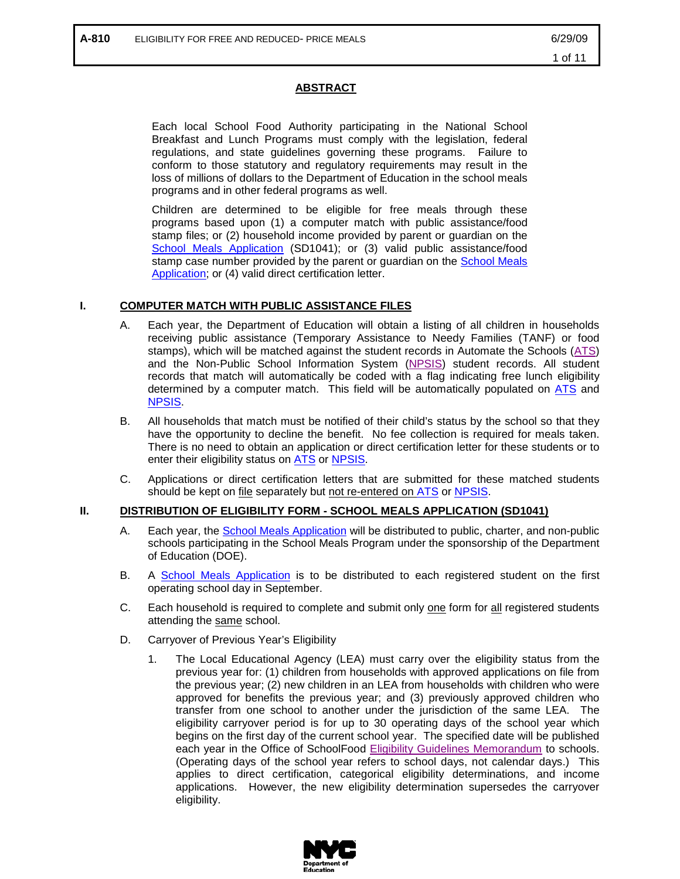## **ABSTRACT**

Each local School Food Authority participating in the National School Breakfast and Lunch Programs must comply with the legislation, federal regulations, and state guidelines governing these programs. Failure to conform to those statutory and regulatory requirements may result in the loss of millions of dollars to the Department of Education in the school meals programs and in other federal programs as well.

Children are determined to be eligible for free meals through these programs based upon (1) a computer match with public assistance/food stamp files; or (2) household income provided by parent or guardian on the [School Meals Application](http://www.opt-osfns.org/osfns/meals/forms_reduced.aspx) (SD1041); or (3) valid public assistance/food stamp case number provided by the parent or guardian on the [School Meals](http://www.opt-osfns.org/osfns/meals/forms_reduced.aspx)  [Application;](http://www.opt-osfns.org/osfns/meals/forms_reduced.aspx) or (4) valid direct certification letter.

## **I. COMPUTER MATCH WITH PUBLIC ASSISTANCE FILES**

- A. Each year, the Department of Education will obtain a listing of all children in households receiving public assistance (Temporary Assistance to Needy Families (TANF) or food stamps), which will be matched against the student records in Automate the Schools [\(ATS\)](http://schools.nyc.gov/Offices/FinanceandAdministration/DIIT/ATS/default.htm) and the Non-Public School Information System [\(NPSIS\)](https://www.nycenet.edu/npsis) student records. All student records that match will automatically be coded with a flag indicating free lunch eligibility determined by a computer match. This field will be automatically populated on [ATS](http://schools.nyc.gov/Offices/FinanceandAdministration/DIIT/ATS/default.htm) and [NPSIS.](https://www.nycenet.edu/npsis)
- B. All households that match must be notified of their child's status by the school so that they have the opportunity to decline the benefit. No fee collection is required for meals taken. There is no need to obtain an application or direct certification letter for these students or to enter their eligibility status on [ATS](http://schools.nyc.gov/Offices/FinanceandAdministration/DIIT/ATS/default.htm) or [NPSIS.](https://www.nycenet.edu/npsis)
- C. Applications or direct certification letters that are submitted for these matched students should be kept on file separately but not re-entered on [ATS](http://schools.nyc.gov/Offices/FinanceandAdministration/DIIT/ATS/default.htm) or [NPSIS.](https://www.nycenet.edu/npsis)

## **II. DISTRIBUTION OF ELIGIBILITY FORM - SCHOOL MEALS APPLICATION (SD1041)**

- A. Each year, the [School Meals Application](http://www.opt-osfns.org/osfns/meals/forms_reduced.aspx) will be distributed to public, charter, and non-public schools participating in the School Meals Program under the sponsorship of the Department of Education (DOE).
- B. A [School Meals Application](http://www.opt-osfns.org/osfns/meals/forms_reduced.aspx) is to be distributed to each registered student on the first operating school day in September.
- C. Each household is required to complete and submit only one form for all registered students attending the same school.
- D. Carryover of Previous Year's Eligibility
	- 1. The Local Educational Agency (LEA) must carry over the eligibility status from the previous year for: (1) children from households with approved applications on file from the previous year; (2) new children in an LEA from households with children who were approved for benefits the previous year; and (3) previously approved children who transfer from one school to another under the jurisdiction of the same LEA. The eligibility carryover period is for up to 30 operating days of the school year which begins on the first day of the current school year. The specified date will be published each year in the Office of SchoolFood [Eligibility Guidelines Memorandum](http://www.opt-osfns.org/osfns/forms/2007-08%20Eligibility%20Guidelines%20For%20Free%20and%20Reduced%20Price%20Meals%20_WEB_.pdf) to schools. (Operating days of the school year refers to school days, not calendar days.) This applies to direct certification, categorical eligibility determinations, and income applications. However, the new eligibility determination supersedes the carryover eligibility.

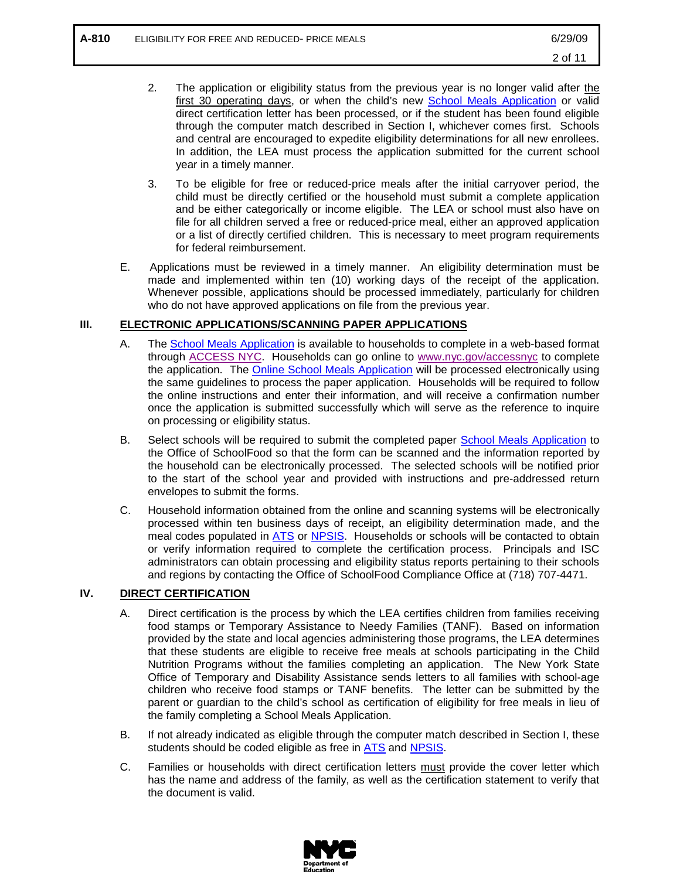- 2. The application or eligibility status from the previous year is no longer valid after the first 30 operating days, or when the child's new [School Meals Application](http://www.opt-osfns.org/osfns/meals/forms_reduced.aspx) or valid direct certification letter has been processed, or if the student has been found eligible through the computer match described in Section I, whichever comes first. Schools and central are encouraged to expedite eligibility determinations for all new enrollees. In addition, the LEA must process the application submitted for the current school year in a timely manner.
- 3. To be eligible for free or reduced-price meals after the initial carryover period, the child must be directly certified or the household must submit a complete application and be either categorically or income eligible. The LEA or school must also have on file for all children served a free or reduced-price meal, either an approved application or a list of directly certified children. This is necessary to meet program requirements for federal reimbursement.
- E. Applications must be reviewed in a timely manner. An eligibility determination must be made and implemented within ten (10) working days of the receipt of the application. Whenever possible, applications should be processed immediately, particularly for children who do not have approved applications on file from the previous year.

# **III. ELECTRONIC APPLICATIONS/SCANNING PAPER APPLICATIONS**

- A. The [School Meals Application](http://www.opt-osfns.org/osfns/meals/forms_reduced.aspx) is available to households to complete in a web-based format through [ACCESS NYC.](https://a858-ihss.nyc.gov/ihss1/en_US/IHSS_languageSelectionPage.do) Households can go online to [www.nyc.gov/accessnyc](http://www.nyc.gov/accessnyc) to complete the application. The **Online School Meals Application** will be processed electronically using the same guidelines to process the paper application. Households will be required to follow the online instructions and enter their information, and will receive a confirmation number once the application is submitted successfully which will serve as the reference to inquire on processing or eligibility status.
- B. Select schools will be required to submit the completed paper [School Meals Application](http://www.opt-osfns.org/osfns/meals/forms_reduced.aspx) to the Office of SchoolFood so that the form can be scanned and the information reported by the household can be electronically processed. The selected schools will be notified prior to the start of the school year and provided with instructions and pre-addressed return envelopes to submit the forms.
- C. Household information obtained from the online and scanning systems will be electronically processed within ten business days of receipt, an eligibility determination made, and the meal codes populated in [ATS](http://schools.nyc.gov/Offices/FinanceandAdministration/DIIT/ATS/default.htm) or [NPSIS.](https://www.nycenet.edu/npsis) Households or schools will be contacted to obtain or verify information required to complete the certification process. Principals and ISC administrators can obtain processing and eligibility status reports pertaining to their schools and regions by contacting the Office of SchoolFood Compliance Office at (718) 707-4471.

# **IV. DIRECT CERTIFICATION**

- A. Direct certification is the process by which the LEA certifies children from families receiving food stamps or Temporary Assistance to Needy Families (TANF). Based on information provided by the state and local agencies administering those programs, the LEA determines that these students are eligible to receive free meals at schools participating in the Child Nutrition Programs without the families completing an application. The New York State Office of Temporary and Disability Assistance sends letters to all families with school-age children who receive food stamps or TANF benefits. The letter can be submitted by the parent or guardian to the child's school as certification of eligibility for free meals in lieu of the family completing a School Meals Application.
- B. If not already indicated as eligible through the computer match described in Section I, these students should be coded eligible as free in **ATS** and **NPSIS**.
- C. Families or households with direct certification letters must provide the cover letter which has the name and address of the family, as well as the certification statement to verify that the document is valid.

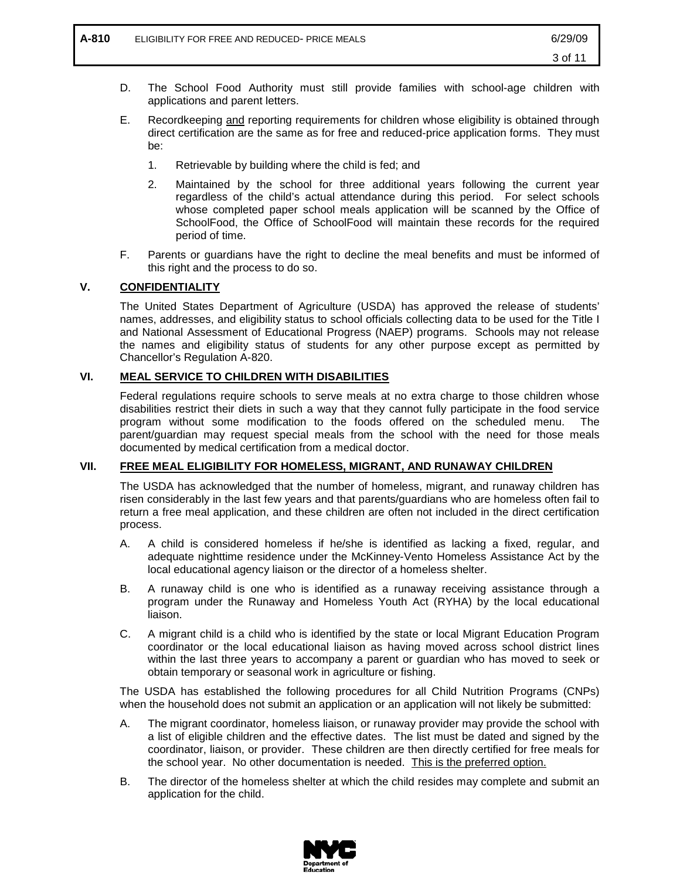- D. The School Food Authority must still provide families with school-age children with applications and parent letters.
- E. Recordkeeping and reporting requirements for children whose eligibility is obtained through direct certification are the same as for free and reduced-price application forms. They must be:
	- 1. Retrievable by building where the child is fed; and
	- 2. Maintained by the school for three additional years following the current year regardless of the child's actual attendance during this period. For select schools whose completed paper school meals application will be scanned by the Office of SchoolFood, the Office of SchoolFood will maintain these records for the required period of time.
- F. Parents or guardians have the right to decline the meal benefits and must be informed of this right and the process to do so.

# **V. CONFIDENTIALITY**

The United States Department of Agriculture (USDA) has approved the release of students' names, addresses, and eligibility status to school officials collecting data to be used for the Title I and National Assessment of Educational Progress (NAEP) programs. Schools may not release the names and eligibility status of students for any other purpose except as permitted by Chancellor's Regulation A-820.

## **VI. MEAL SERVICE TO CHILDREN WITH DISABILITIES**

Federal regulations require schools to serve meals at no extra charge to those children whose disabilities restrict their diets in such a way that they cannot fully participate in the food service program without some modification to the foods offered on the scheduled menu. The parent/guardian may request special meals from the school with the need for those meals documented by medical certification from a medical doctor.

## **VII. FREE MEAL ELIGIBILITY FOR HOMELESS, MIGRANT, AND RUNAWAY CHILDREN**

The USDA has acknowledged that the number of homeless, migrant, and runaway children has risen considerably in the last few years and that parents/guardians who are homeless often fail to return a free meal application, and these children are often not included in the direct certification process.

- A. A child is considered homeless if he/she is identified as lacking a fixed, regular, and adequate nighttime residence under the McKinney-Vento Homeless Assistance Act by the local educational agency liaison or the director of a homeless shelter.
- B. A runaway child is one who is identified as a runaway receiving assistance through a program under the Runaway and Homeless Youth Act (RYHA) by the local educational liaison.
- C. A migrant child is a child who is identified by the state or local Migrant Education Program coordinator or the local educational liaison as having moved across school district lines within the last three years to accompany a parent or guardian who has moved to seek or obtain temporary or seasonal work in agriculture or fishing.

The USDA has established the following procedures for all Child Nutrition Programs (CNPs) when the household does not submit an application or an application will not likely be submitted:

- A. The migrant coordinator, homeless liaison, or runaway provider may provide the school with a list of eligible children and the effective dates. The list must be dated and signed by the coordinator, liaison, or provider. These children are then directly certified for free meals for the school year. No other documentation is needed. This is the preferred option.
- B. The director of the homeless shelter at which the child resides may complete and submit an application for the child.

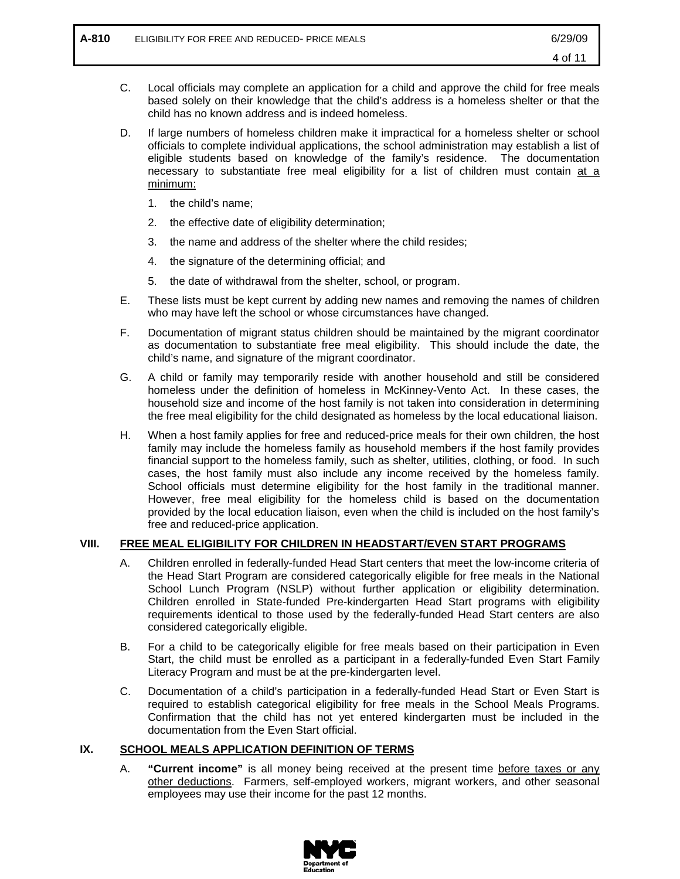- C. Local officials may complete an application for a child and approve the child for free meals based solely on their knowledge that the child's address is a homeless shelter or that the child has no known address and is indeed homeless.
- D. If large numbers of homeless children make it impractical for a homeless shelter or school officials to complete individual applications, the school administration may establish a list of eligible students based on knowledge of the family's residence. The documentation necessary to substantiate free meal eligibility for a list of children must contain at a minimum:
	- 1. the child's name;
	- 2. the effective date of eligibility determination;
	- 3. the name and address of the shelter where the child resides;
	- 4. the signature of the determining official; and
	- 5. the date of withdrawal from the shelter, school, or program.
- E. These lists must be kept current by adding new names and removing the names of children who may have left the school or whose circumstances have changed.
- F. Documentation of migrant status children should be maintained by the migrant coordinator as documentation to substantiate free meal eligibility. This should include the date, the child's name, and signature of the migrant coordinator.
- G. A child or family may temporarily reside with another household and still be considered homeless under the definition of homeless in McKinney-Vento Act. In these cases, the household size and income of the host family is not taken into consideration in determining the free meal eligibility for the child designated as homeless by the local educational liaison.
- H. When a host family applies for free and reduced-price meals for their own children, the host family may include the homeless family as household members if the host family provides financial support to the homeless family, such as shelter, utilities, clothing, or food. In such cases, the host family must also include any income received by the homeless family. School officials must determine eligibility for the host family in the traditional manner. However, free meal eligibility for the homeless child is based on the documentation provided by the local education liaison, even when the child is included on the host family's free and reduced-price application.

# **VIII. FREE MEAL ELIGIBILITY FOR CHILDREN IN HEADSTART/EVEN START PROGRAMS**

- A. Children enrolled in federally-funded Head Start centers that meet the low-income criteria of the Head Start Program are considered categorically eligible for free meals in the National School Lunch Program (NSLP) without further application or eligibility determination. Children enrolled in State-funded Pre-kindergarten Head Start programs with eligibility requirements identical to those used by the federally-funded Head Start centers are also considered categorically eligible.
- B. For a child to be categorically eligible for free meals based on their participation in Even Start, the child must be enrolled as a participant in a federally-funded Even Start Family Literacy Program and must be at the pre-kindergarten level.
- C. Documentation of a child's participation in a federally-funded Head Start or Even Start is required to establish categorical eligibility for free meals in the School Meals Programs. Confirmation that the child has not yet entered kindergarten must be included in the documentation from the Even Start official.

## **IX. SCHOOL MEALS APPLICATION DEFINITION OF TERMS**

A. **"Current income"** is all money being received at the present time before taxes or any other deductions. Farmers, self-employed workers, migrant workers, and other seasonal employees may use their income for the past 12 months.

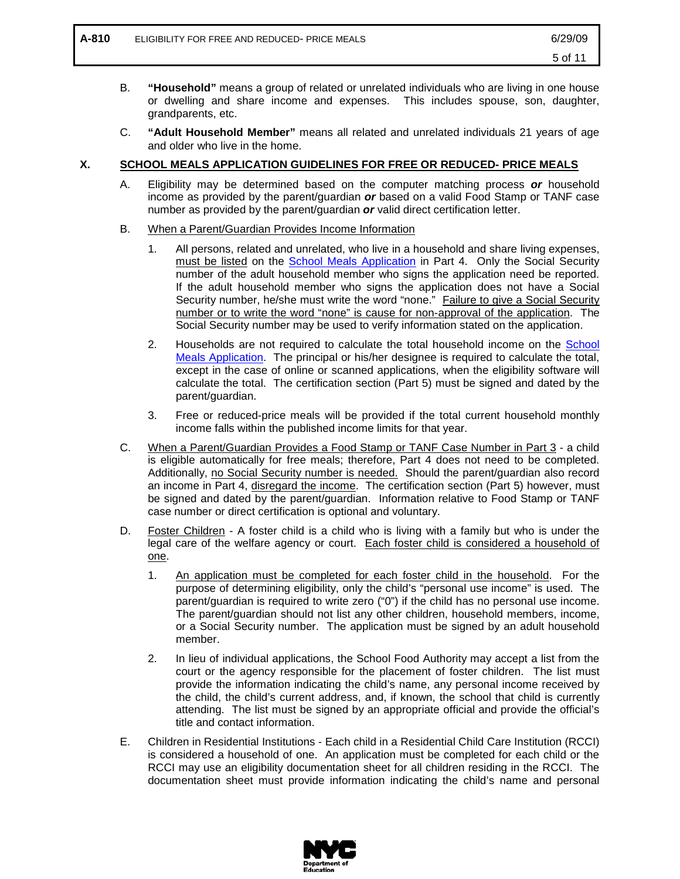- B. **"Household"** means a group of related or unrelated individuals who are living in one house or dwelling and share income and expenses. This includes spouse, son, daughter, grandparents, etc.
- C. **"Adult Household Member"** means all related and unrelated individuals 21 years of age and older who live in the home.

# **X. SCHOOL MEALS APPLICATION GUIDELINES FOR FREE OR REDUCED- PRICE MEALS**

- A. Eligibility may be determined based on the computer matching process *or* household income as provided by the parent/guardian *or* based on a valid Food Stamp or TANF case number as provided by the parent/guardian *or* valid direct certification letter.
- B. When a Parent/Guardian Provides Income Information
	- 1. All persons, related and unrelated, who live in a household and share living expenses, must be listed on the [School Meals Application](http://www.opt-osfns.org/osfns/meals/forms_reduced.aspx) in Part 4. Only the Social Security number of the adult household member who signs the application need be reported. If the adult household member who signs the application does not have a Social Security number, he/she must write the word "none." Failure to give a Social Security number or to write the word "none" is cause for non-approval of the application. The Social Security number may be used to verify information stated on the application.
	- 2. Households are not required to calculate the total household income on the [School](http://www.opt-osfns.org/osfns/meals/forms_reduced.aspx)  [Meals Application.](http://www.opt-osfns.org/osfns/meals/forms_reduced.aspx) The principal or his/her designee is required to calculate the total, except in the case of online or scanned applications, when the eligibility software will calculate the total. The certification section (Part 5) must be signed and dated by the parent/guardian.
	- 3. Free or reduced-price meals will be provided if the total current household monthly income falls within the published income limits for that year.
- C. When a Parent/Guardian Provides a Food Stamp or TANF Case Number in Part 3 a child is eligible automatically for free meals; therefore, Part 4 does not need to be completed. Additionally, no Social Security number is needed. Should the parent/guardian also record an income in Part 4, disregard the income. The certification section (Part 5) however, must be signed and dated by the parent/guardian. Information relative to Food Stamp or TANF case number or direct certification is optional and voluntary.
- D. Foster Children A foster child is a child who is living with a family but who is under the legal care of the welfare agency or court. Each foster child is considered a household of one.
	- 1. An application must be completed for each foster child in the household. For the purpose of determining eligibility, only the child's "personal use income" is used. The parent/guardian is required to write zero ("0") if the child has no personal use income. The parent/guardian should not list any other children, household members, income, or a Social Security number. The application must be signed by an adult household member.
	- 2. In lieu of individual applications, the School Food Authority may accept a list from the court or the agency responsible for the placement of foster children. The list must provide the information indicating the child's name, any personal income received by the child, the child's current address, and, if known, the school that child is currently attending. The list must be signed by an appropriate official and provide the official's title and contact information.
- E. Children in Residential Institutions Each child in a Residential Child Care Institution (RCCI) is considered a household of one. An application must be completed for each child or the RCCI may use an eligibility documentation sheet for all children residing in the RCCI. The documentation sheet must provide information indicating the child's name and personal

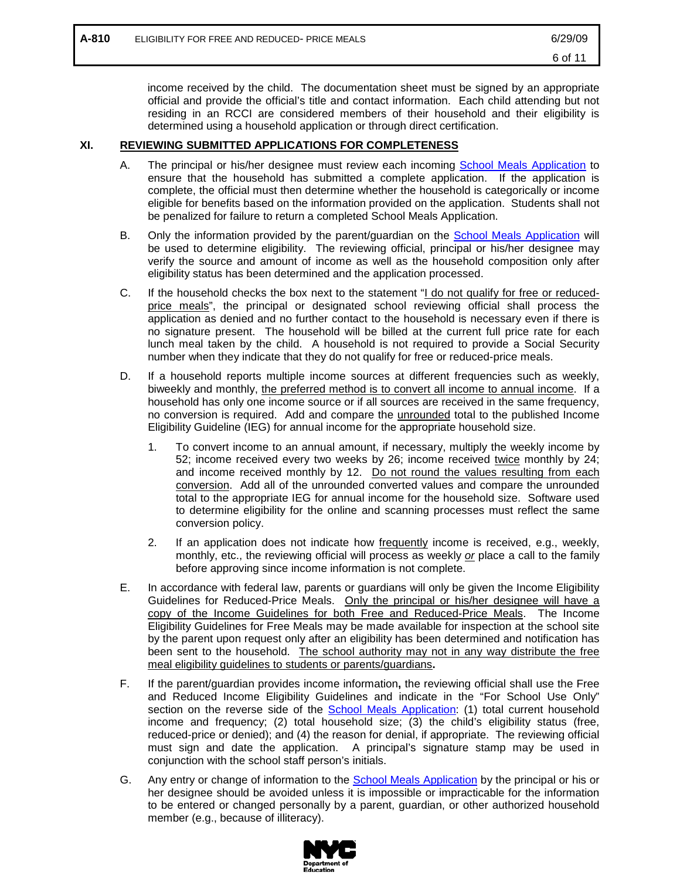income received by the child. The documentation sheet must be signed by an appropriate official and provide the official's title and contact information. Each child attending but not residing in an RCCI are considered members of their household and their eligibility is determined using a household application or through direct certification.

## **XI. REVIEWING SUBMITTED APPLICATIONS FOR COMPLETENESS**

- A. The principal or his/her designee must review each incoming [School Meals Application](http://www.opt-osfns.org/osfns/meals/forms_reduced.aspx) to ensure that the household has submitted a complete application. If the application is complete, the official must then determine whether the household is categorically or income eligible for benefits based on the information provided on the application. Students shall not be penalized for failure to return a completed School Meals Application.
- B. Only the information provided by the parent/guardian on the **School Meals Application** will be used to determine eligibility. The reviewing official, principal or his/her designee may verify the source and amount of income as well as the household composition only after eligibility status has been determined and the application processed.
- C. If the household checks the box next to the statement "I do not qualify for free or reducedprice meals", the principal or designated school reviewing official shall process the application as denied and no further contact to the household is necessary even if there is no signature present. The household will be billed at the current full price rate for each lunch meal taken by the child. A household is not required to provide a Social Security number when they indicate that they do not qualify for free or reduced-price meals.
- D. If a household reports multiple income sources at different frequencies such as weekly, biweekly and monthly, the preferred method is to convert all income to annual income. If a household has only one income source or if all sources are received in the same frequency, no conversion is required. Add and compare the *unrounded* total to the published Income Eligibility Guideline (IEG) for annual income for the appropriate household size.
	- 1. To convert income to an annual amount, if necessary, multiply the weekly income by 52; income received every two weeks by 26; income received twice monthly by 24; and income received monthly by 12. Do not round the values resulting from each conversion. Add all of the unrounded converted values and compare the unrounded total to the appropriate IEG for annual income for the household size. Software used to determine eligibility for the online and scanning processes must reflect the same conversion policy.
	- 2. If an application does not indicate how frequently income is received, e.g., weekly, monthly, etc., the reviewing official will process as weekly *or* place a call to the family before approving since income information is not complete.
- E. In accordance with federal law, parents or guardians will only be given the Income Eligibility Guidelines for Reduced-Price Meals. Only the principal or his/her designee will have a copy of the Income Guidelines for both Free and Reduced-Price Meals. The Income Eligibility Guidelines for Free Meals may be made available for inspection at the school site by the parent upon request only after an eligibility has been determined and notification has been sent to the household. The school authority may not in any way distribute the free meal eligibility guidelines to students or parents/guardians**.**
- F. If the parent/guardian provides income information**,** the reviewing official shall use the Free and Reduced Income Eligibility Guidelines and indicate in the "For School Use Only" section on the reverse side of the [School Meals Application:](http://www.opt-osfns.org/osfns/meals/forms_reduced.aspx) (1) total current household income and frequency; (2) total household size; (3) the child's eligibility status (free, reduced-price or denied); and (4) the reason for denial, if appropriate. The reviewing official must sign and date the application. A principal's signature stamp may be used in conjunction with the school staff person's initials.
- G. Any entry or change of information to the [School Meals Application](http://www.opt-osfns.org/osfns/meals/forms_reduced.aspx) by the principal or his or her designee should be avoided unless it is impossible or impracticable for the information to be entered or changed personally by a parent, guardian, or other authorized household member (e.g., because of illiteracy).

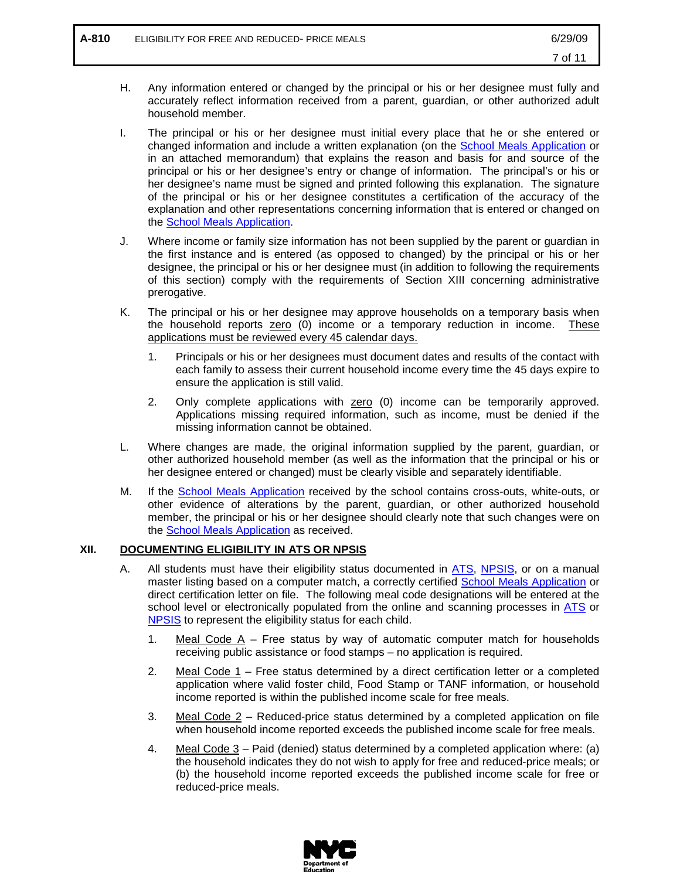- H. Any information entered or changed by the principal or his or her designee must fully and accurately reflect information received from a parent, guardian, or other authorized adult household member.
- I. The principal or his or her designee must initial every place that he or she entered or changed information and include a written explanation (on the [School Meals Application](http://www.opt-osfns.org/osfns/meals/forms_reduced.aspx) or in an attached memorandum) that explains the reason and basis for and source of the principal or his or her designee's entry or change of information. The principal's or his or her designee's name must be signed and printed following this explanation. The signature of the principal or his or her designee constitutes a certification of the accuracy of the explanation and other representations concerning information that is entered or changed on the [School Meals Application.](http://www.opt-osfns.org/osfns/meals/forms_reduced.aspx)
- J. Where income or family size information has not been supplied by the parent or guardian in the first instance and is entered (as opposed to changed) by the principal or his or her designee, the principal or his or her designee must (in addition to following the requirements of this section) comply with the requirements of Section XIII concerning administrative prerogative.
- K. The principal or his or her designee may approve households on a temporary basis when the household reports zero (0) income or a temporary reduction in income. These applications must be reviewed every 45 calendar days.
	- 1. Principals or his or her designees must document dates and results of the contact with each family to assess their current household income every time the 45 days expire to ensure the application is still valid.
	- 2. Only complete applications with zero (0) income can be temporarily approved. Applications missing required information, such as income, must be denied if the missing information cannot be obtained.
- L. Where changes are made, the original information supplied by the parent, guardian, or other authorized household member (as well as the information that the principal or his or her designee entered or changed) must be clearly visible and separately identifiable.
- M. If the [School Meals Application](http://www.opt-osfns.org/osfns/meals/forms_reduced.aspx) received by the school contains cross-outs, white-outs, or other evidence of alterations by the parent, guardian, or other authorized household member, the principal or his or her designee should clearly note that such changes were on the [School Meals Application](http://www.opt-osfns.org/osfns/meals/forms_reduced.aspx) as received.

# **XII. DOCUMENTING ELIGIBILITY IN ATS OR NPSIS**

- A. All students must have their eligibility status documented in [ATS,](http://schools.nyc.gov/Offices/FinanceandAdministration/DIIT/ATS/default.htm) [NPSIS,](https://www.nycenet.edu/npsis) or on a manual master listing based on a computer match, a correctly certified [School Meals Application](http://www.opt-osfns.org/osfns/meals/forms_reduced.aspx) or direct certification letter on file. The following meal code designations will be entered at the school level or electronically populated from the online and scanning processes in [ATS](http://schools.nyc.gov/Offices/FinanceandAdministration/DIIT/ATS/default.htm) or [NPSIS](https://www.nycenet.edu/npsis) to represent the eligibility status for each child.
	- 1. Meal Code  $\overline{A}$  Free status by way of automatic computer match for households receiving public assistance or food stamps – no application is required.
	- 2. Meal Code  $1$  Free status determined by a direct certification letter or a completed application where valid foster child, Food Stamp or TANF information, or household income reported is within the published income scale for free meals.
	- 3. Meal Code 2 Reduced-price status determined by a completed application on file when household income reported exceeds the published income scale for free meals.
	- 4. Meal Code 3 Paid (denied) status determined by a completed application where: (a) the household indicates they do not wish to apply for free and reduced-price meals; or (b) the household income reported exceeds the published income scale for free or reduced-price meals.

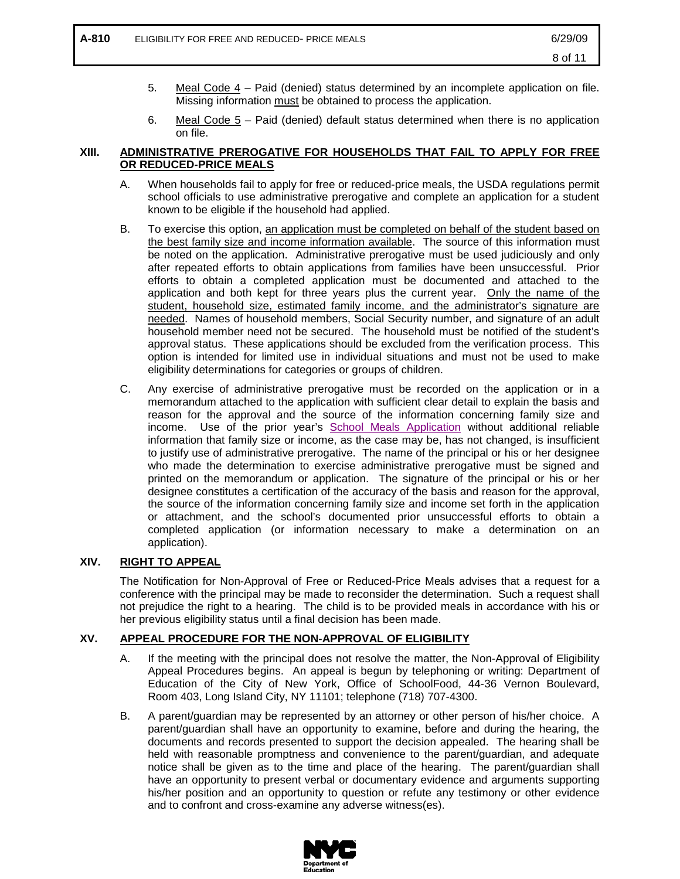- 5. Meal Code 4 Paid (denied) status determined by an incomplete application on file. Missing information must be obtained to process the application.
- 6. Meal Code 5 Paid (denied) default status determined when there is no application on file.

# **XIII. ADMINISTRATIVE PREROGATIVE FOR HOUSEHOLDS THAT FAIL TO APPLY FOR FREE OR REDUCED-PRICE MEALS**

- A. When households fail to apply for free or reduced-price meals, the USDA regulations permit school officials to use administrative prerogative and complete an application for a student known to be eligible if the household had applied.
- B. To exercise this option, an application must be completed on behalf of the student based on the best family size and income information available. The source of this information must be noted on the application. Administrative prerogative must be used judiciously and only after repeated efforts to obtain applications from families have been unsuccessful. Prior efforts to obtain a completed application must be documented and attached to the application and both kept for three years plus the current year. Only the name of the student, household size, estimated family income, and the administrator's signature are needed. Names of household members, Social Security number, and signature of an adult household member need not be secured. The household must be notified of the student's approval status. These applications should be excluded from the verification process. This option is intended for limited use in individual situations and must not be used to make eligibility determinations for categories or groups of children.
- C. Any exercise of administrative prerogative must be recorded on the application or in a memorandum attached to the application with sufficient clear detail to explain the basis and reason for the approval and the source of the information concerning family size and income. Use of the prior year's [School Meals Application](http://www.opt-osfns.org/osfns/meals/forms_reduced.aspx) without additional reliable information that family size or income, as the case may be, has not changed, is insufficient to justify use of administrative prerogative. The name of the principal or his or her designee who made the determination to exercise administrative prerogative must be signed and printed on the memorandum or application. The signature of the principal or his or her designee constitutes a certification of the accuracy of the basis and reason for the approval, the source of the information concerning family size and income set forth in the application or attachment, and the school's documented prior unsuccessful efforts to obtain a completed application (or information necessary to make a determination on an application).

# **XIV. RIGHT TO APPEAL**

The Notification for Non-Approval of Free or Reduced-Price Meals advises that a request for a conference with the principal may be made to reconsider the determination. Such a request shall not prejudice the right to a hearing. The child is to be provided meals in accordance with his or her previous eligibility status until a final decision has been made.

## **XV. APPEAL PROCEDURE FOR THE NON-APPROVAL OF ELIGIBILITY**

- A. If the meeting with the principal does not resolve the matter, the Non-Approval of Eligibility Appeal Procedures begins. An appeal is begun by telephoning or writing: Department of Education of the City of New York, Office of SchoolFood, 44-36 Vernon Boulevard, Room 403, Long Island City, NY 11101; telephone (718) 707-4300.
- B. A parent/guardian may be represented by an attorney or other person of his/her choice. A parent/guardian shall have an opportunity to examine, before and during the hearing, the documents and records presented to support the decision appealed. The hearing shall be held with reasonable promptness and convenience to the parent/guardian, and adequate notice shall be given as to the time and place of the hearing. The parent/guardian shall have an opportunity to present verbal or documentary evidence and arguments supporting his/her position and an opportunity to question or refute any testimony or other evidence and to confront and cross-examine any adverse witness(es).

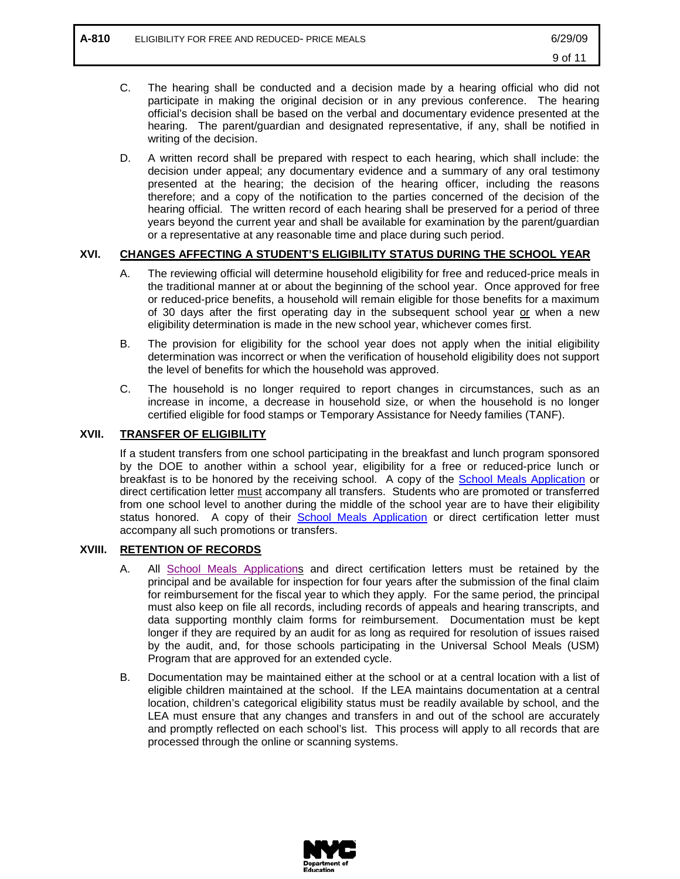- C. The hearing shall be conducted and a decision made by a hearing official who did not participate in making the original decision or in any previous conference. The hearing official's decision shall be based on the verbal and documentary evidence presented at the hearing. The parent/guardian and designated representative, if any, shall be notified in writing of the decision.
- D. A written record shall be prepared with respect to each hearing, which shall include: the decision under appeal; any documentary evidence and a summary of any oral testimony presented at the hearing; the decision of the hearing officer, including the reasons therefore; and a copy of the notification to the parties concerned of the decision of the hearing official. The written record of each hearing shall be preserved for a period of three years beyond the current year and shall be available for examination by the parent/guardian or a representative at any reasonable time and place during such period.

# **XVI. CHANGES AFFECTING A STUDENT'S ELIGIBILITY STATUS DURING THE SCHOOL YEAR**

- A. The reviewing official will determine household eligibility for free and reduced-price meals in the traditional manner at or about the beginning of the school year. Once approved for free or reduced-price benefits, a household will remain eligible for those benefits for a maximum of 30 days after the first operating day in the subsequent school year or when a new eligibility determination is made in the new school year, whichever comes first.
- B. The provision for eligibility for the school year does not apply when the initial eligibility determination was incorrect or when the verification of household eligibility does not support the level of benefits for which the household was approved.
- C. The household is no longer required to report changes in circumstances, such as an increase in income, a decrease in household size, or when the household is no longer certified eligible for food stamps or Temporary Assistance for Needy families (TANF).

# **XVII. TRANSFER OF ELIGIBILITY**

If a student transfers from one school participating in the breakfast and lunch program sponsored by the DOE to another within a school year, eligibility for a free or reduced-price lunch or breakfast is to be honored by the receiving school. A copy of the **School Meals Application** or direct certification letter must accompany all transfers. Students who are promoted or transferred from one school level to another during the middle of the school year are to have their eligibility status honored. A copy of their **[School Meals Application](http://www.opt-osfns.org/osfns/meals/forms_reduced.aspx)** or direct certification letter must accompany all such promotions or transfers.

## **XVIII. RETENTION OF RECORDS**

- A. All [School Meals Applications](http://www.opt-osfns.org/osfns/meals/forms_reduced.aspx) and direct certification letters must be retained by the principal and be available for inspection for four years after the submission of the final claim for reimbursement for the fiscal year to which they apply. For the same period, the principal must also keep on file all records, including records of appeals and hearing transcripts, and data supporting monthly claim forms for reimbursement. Documentation must be kept longer if they are required by an audit for as long as required for resolution of issues raised by the audit, and, for those schools participating in the Universal School Meals (USM) Program that are approved for an extended cycle.
- B. Documentation may be maintained either at the school or at a central location with a list of eligible children maintained at the school. If the LEA maintains documentation at a central location, children's categorical eligibility status must be readily available by school, and the LEA must ensure that any changes and transfers in and out of the school are accurately and promptly reflected on each school's list. This process will apply to all records that are processed through the online or scanning systems.

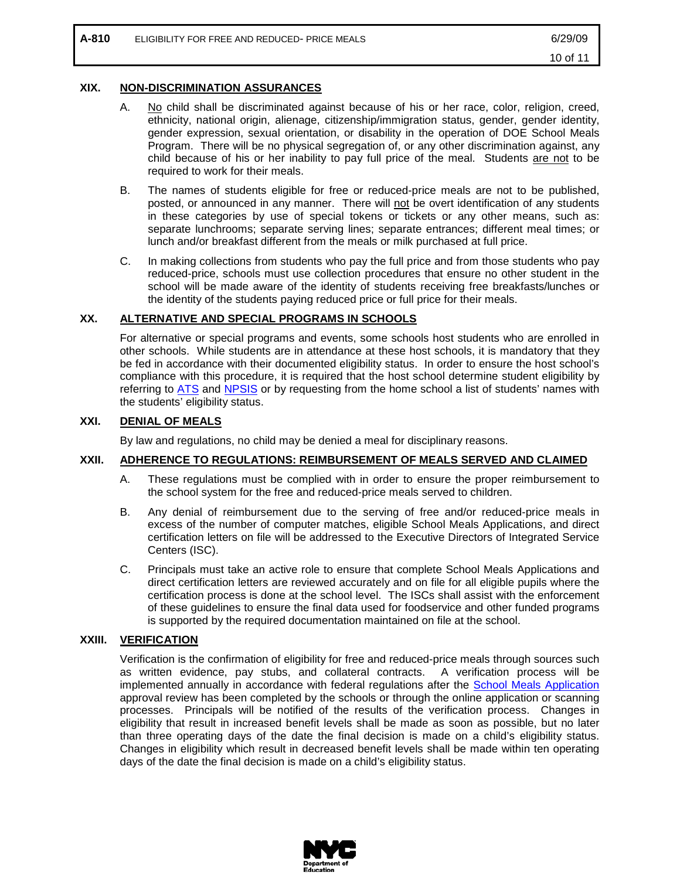# **XIX. NON-DISCRIMINATION ASSURANCES**

- A. No child shall be discriminated against because of his or her race, color, religion, creed, ethnicity, national origin, alienage, citizenship/immigration status, gender, gender identity, gender expression, sexual orientation, or disability in the operation of DOE School Meals Program. There will be no physical segregation of, or any other discrimination against, any child because of his or her inability to pay full price of the meal. Students are not to be required to work for their meals.
- B. The names of students eligible for free or reduced-price meals are not to be published, posted, or announced in any manner. There will not be overt identification of any students in these categories by use of special tokens or tickets or any other means, such as: separate lunchrooms; separate serving lines; separate entrances; different meal times; or lunch and/or breakfast different from the meals or milk purchased at full price.
- C. In making collections from students who pay the full price and from those students who pay reduced-price, schools must use collection procedures that ensure no other student in the school will be made aware of the identity of students receiving free breakfasts/lunches or the identity of the students paying reduced price or full price for their meals.

## **XX. ALTERNATIVE AND SPECIAL PROGRAMS IN SCHOOLS**

For alternative or special programs and events, some schools host students who are enrolled in other schools. While students are in attendance at these host schools, it is mandatory that they be fed in accordance with their documented eligibility status. In order to ensure the host school's compliance with this procedure, it is required that the host school determine student eligibility by referring to [ATS](http://schools.nyc.gov/Offices/FinanceandAdministration/DIIT/ATS/default.htm) and [NPSIS](https://www.nycenet.edu/npsis) or by requesting from the home school a list of students' names with the students' eligibility status.

# **XXI. DENIAL OF MEALS**

By law and regulations, no child may be denied a meal for disciplinary reasons.

## **XXII. ADHERENCE TO REGULATIONS: REIMBURSEMENT OF MEALS SERVED AND CLAIMED**

- A. These regulations must be complied with in order to ensure the proper reimbursement to the school system for the free and reduced-price meals served to children.
- B. Any denial of reimbursement due to the serving of free and/or reduced-price meals in excess of the number of computer matches, eligible School Meals Applications, and direct certification letters on file will be addressed to the Executive Directors of Integrated Service Centers (ISC).
- C. Principals must take an active role to ensure that complete School Meals Applications and direct certification letters are reviewed accurately and on file for all eligible pupils where the certification process is done at the school level. The ISCs shall assist with the enforcement of these guidelines to ensure the final data used for foodservice and other funded programs is supported by the required documentation maintained on file at the school.

## **XXIII. VERIFICATION**

Verification is the confirmation of eligibility for free and reduced-price meals through sources such as written evidence, pay stubs, and collateral contracts. A verification process will be implemented annually in accordance with federal regulations after the [School Meals Application](http://www.opt-osfns.org/osfns/meals/forms_reduced.aspx) approval review has been completed by the schools or through the online application or scanning processes. Principals will be notified of the results of the verification process. Changes in eligibility that result in increased benefit levels shall be made as soon as possible, but no later than three operating days of the date the final decision is made on a child's eligibility status. Changes in eligibility which result in decreased benefit levels shall be made within ten operating days of the date the final decision is made on a child's eligibility status.